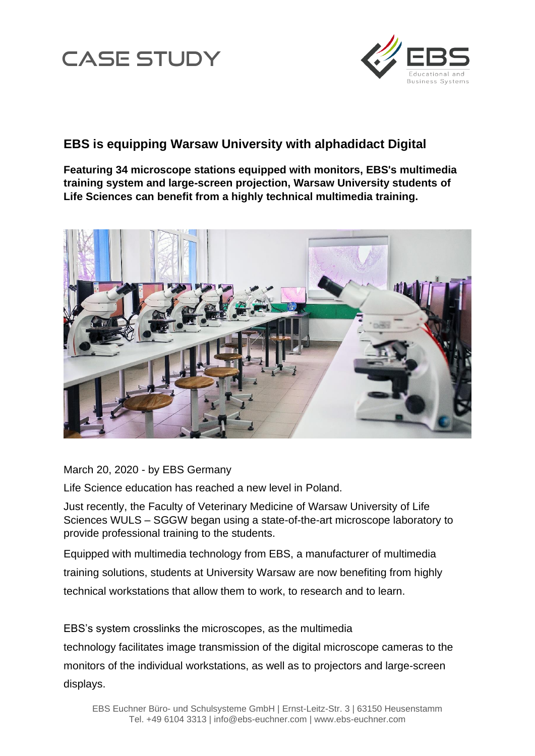



## **EBS is equipping Warsaw University with alphadidact Digital**

**Featuring 34 microscope stations equipped with monitors, EBS's multimedia training system and large-screen projection, Warsaw University students of Life Sciences can benefit from a highly technical multimedia training.**



March 20, 2020 - by EBS Germany

Life Science education has reached a new level in Poland.

Just recently, the Faculty of Veterinary Medicine of Warsaw University of Life Sciences WULS – SGGW began using a state-of-the-art microscope laboratory to provide professional training to the students.

Equipped with multimedia technology from EBS, a manufacturer of multimedia training solutions, students at University Warsaw are now benefiting from highly technical workstations that allow them to work, to research and to learn.

EBS's system crosslinks the microscopes, as the multimedia

technology facilitates image transmission of the digital microscope cameras to the monitors of the individual workstations, as well as to projectors and large-screen displays.